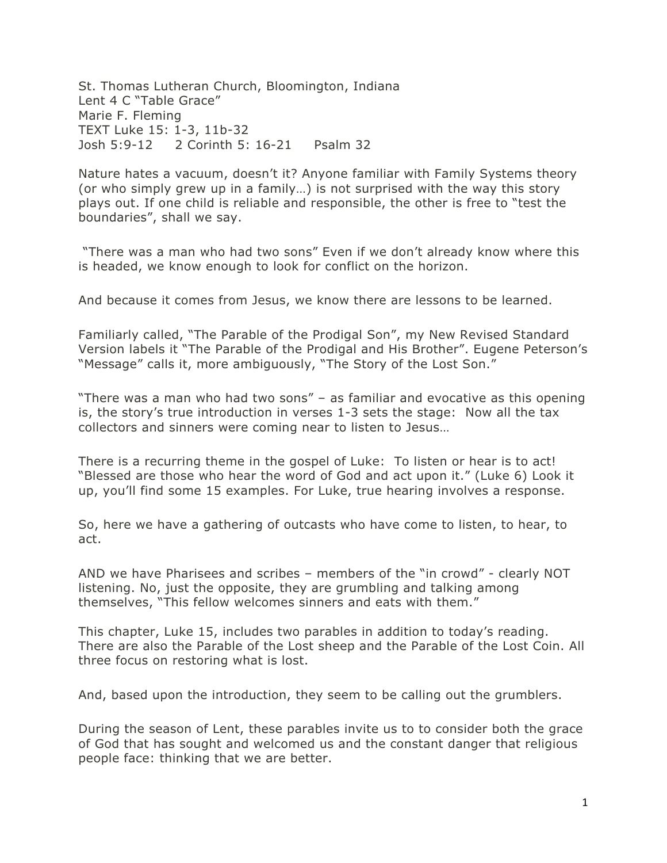St. Thomas Lutheran Church, Bloomington, Indiana Lent 4 C "Table Grace" Marie F. Fleming TEXT Luke 15: 1-3, 11b-32 Josh 5:9-12 2 Corinth 5: 16-21 Psalm 32

Nature hates a vacuum, doesn't it? Anyone familiar with Family Systems theory (or who simply grew up in a family…) is not surprised with the way this story plays out. If one child is reliable and responsible, the other is free to "test the boundaries", shall we say.

"There was a man who had two sons" Even if we don't already know where this is headed, we know enough to look for conflict on the horizon.

And because it comes from Jesus, we know there are lessons to be learned.

Familiarly called, "The Parable of the Prodigal Son", my New Revised Standard Version labels it "The Parable of the Prodigal and His Brother". Eugene Peterson's "Message" calls it, more ambiguously, "The Story of the Lost Son."

"There was a man who had two sons" – as familiar and evocative as this opening is, the story's true introduction in verses 1-3 sets the stage: Now all the tax collectors and sinners were coming near to listen to Jesus…

There is a recurring theme in the gospel of Luke: To listen or hear is to act! "Blessed are those who hear the word of God and act upon it." (Luke 6) Look it up, you'll find some 15 examples. For Luke, true hearing involves a response.

So, here we have a gathering of outcasts who have come to listen, to hear, to act.

AND we have Pharisees and scribes – members of the "in crowd" - clearly NOT listening. No, just the opposite, they are grumbling and talking among themselves, "This fellow welcomes sinners and eats with them."

This chapter, Luke 15, includes two parables in addition to today's reading. There are also the Parable of the Lost sheep and the Parable of the Lost Coin. All three focus on restoring what is lost.

And, based upon the introduction, they seem to be calling out the grumblers.

During the season of Lent, these parables invite us to to consider both the grace of God that has sought and welcomed us and the constant danger that religious people face: thinking that we are better.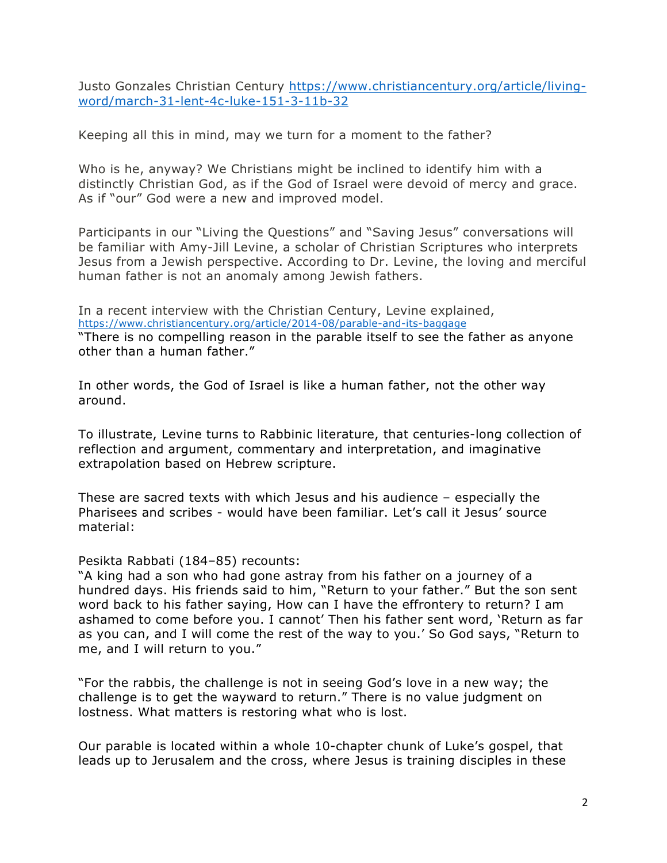Justo Gonzales Christian Century https://www.christiancentury.org/article/livingword/march-31-lent-4c-luke-151-3-11b-32

Keeping all this in mind, may we turn for a moment to the father?

Who is he, anyway? We Christians might be inclined to identify him with a distinctly Christian God, as if the God of Israel were devoid of mercy and grace. As if "our" God were a new and improved model.

Participants in our "Living the Questions" and "Saving Jesus" conversations will be familiar with Amy-Jill Levine, a scholar of Christian Scriptures who interprets Jesus from a Jewish perspective. According to Dr. Levine, the loving and merciful human father is not an anomaly among Jewish fathers.

In a recent interview with the Christian Century, Levine explained, https://www.christiancentury.org/article/2014-08/parable-and-its-baggage "There is no compelling reason in the parable itself to see the father as anyone other than a human father."

In other words, the God of Israel is like a human father, not the other way around.

To illustrate, Levine turns to Rabbinic literature, that centuries-long collection of reflection and argument, commentary and interpretation, and imaginative extrapolation based on Hebrew scripture.

These are sacred texts with which Jesus and his audience – especially the Pharisees and scribes - would have been familiar. Let's call it Jesus' source material:

Pesikta Rabbati (184–85) recounts:

"A king had a son who had gone astray from his father on a journey of a hundred days. His friends said to him, "Return to your father." But the son sent word back to his father saying, How can I have the effrontery to return? I am ashamed to come before you. I cannot' Then his father sent word, 'Return as far as you can, and I will come the rest of the way to you.' So God says, "Return to me, and I will return to you."

"For the rabbis, the challenge is not in seeing God's love in a new way; the challenge is to get the wayward to return." There is no value judgment on lostness. What matters is restoring what who is lost.

Our parable is located within a whole 10-chapter chunk of Luke's gospel, that leads up to Jerusalem and the cross, where Jesus is training disciples in these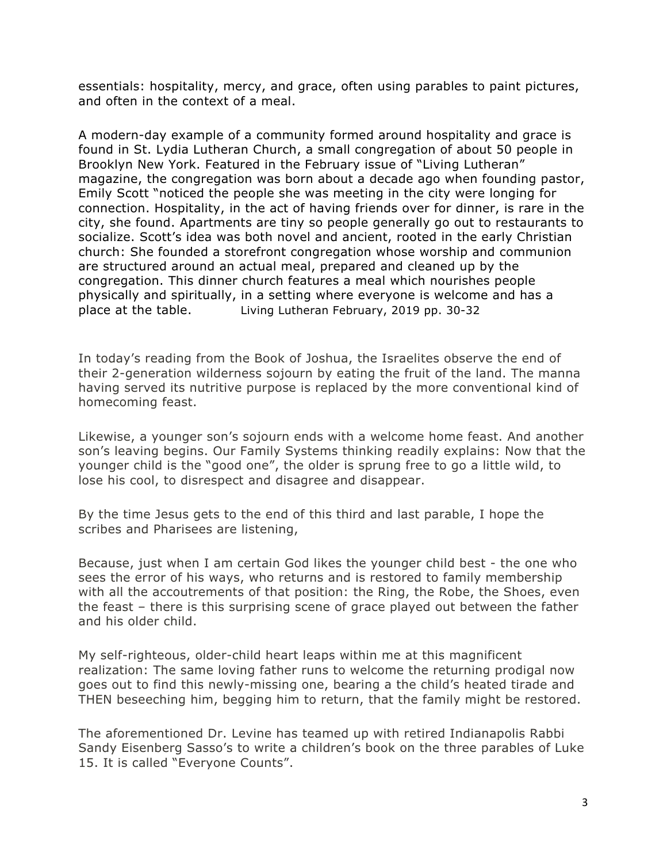essentials: hospitality, mercy, and grace, often using parables to paint pictures, and often in the context of a meal.

A modern-day example of a community formed around hospitality and grace is found in St. Lydia Lutheran Church, a small congregation of about 50 people in Brooklyn New York. Featured in the February issue of "Living Lutheran" magazine, the congregation was born about a decade ago when founding pastor, Emily Scott "noticed the people she was meeting in the city were longing for connection. Hospitality, in the act of having friends over for dinner, is rare in the city, she found. Apartments are tiny so people generally go out to restaurants to socialize. Scott's idea was both novel and ancient, rooted in the early Christian church: She founded a storefront congregation whose worship and communion are structured around an actual meal, prepared and cleaned up by the congregation. This dinner church features a meal which nourishes people physically and spiritually, in a setting where everyone is welcome and has a place at the table. Living Lutheran February, 2019 pp. 30-32

In today's reading from the Book of Joshua, the Israelites observe the end of their 2-generation wilderness sojourn by eating the fruit of the land. The manna having served its nutritive purpose is replaced by the more conventional kind of homecoming feast.

Likewise, a younger son's sojourn ends with a welcome home feast. And another son's leaving begins. Our Family Systems thinking readily explains: Now that the younger child is the "good one", the older is sprung free to go a little wild, to lose his cool, to disrespect and disagree and disappear.

By the time Jesus gets to the end of this third and last parable, I hope the scribes and Pharisees are listening,

Because, just when I am certain God likes the younger child best - the one who sees the error of his ways, who returns and is restored to family membership with all the accoutrements of that position: the Ring, the Robe, the Shoes, even the feast – there is this surprising scene of grace played out between the father and his older child.

My self-righteous, older-child heart leaps within me at this magnificent realization: The same loving father runs to welcome the returning prodigal now goes out to find this newly-missing one, bearing a the child's heated tirade and THEN beseeching him, begging him to return, that the family might be restored.

The aforementioned Dr. Levine has teamed up with retired Indianapolis Rabbi Sandy Eisenberg Sasso's to write a children's book on the three parables of Luke 15. It is called "Everyone Counts".